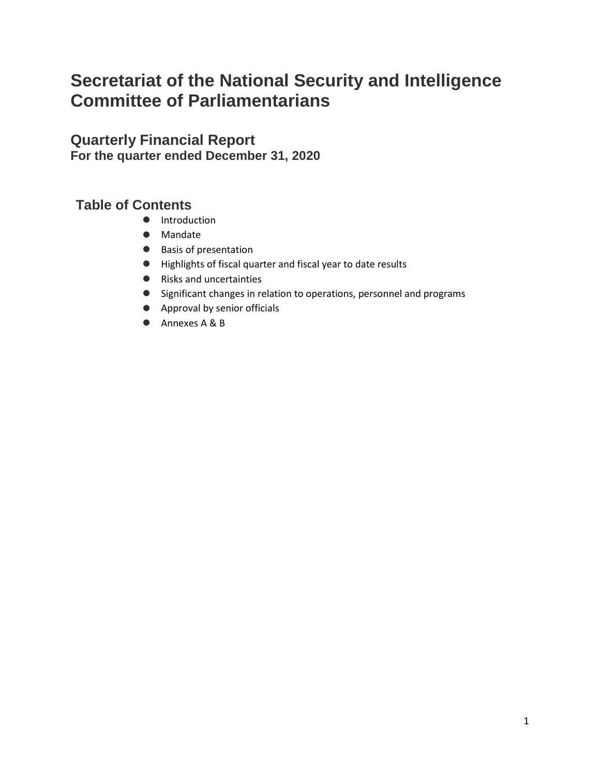# **Secretariat of the National Security and Intelligence Committee of Parliamentarians**

**Quarterly Financial Report For the quarter ended December 31, 2020**

# **Table of Contents**

- $\bullet$  Introduction
- Mandate
- Basis of presentation
- Highlights of fiscal quarter and fiscal year to date results
- Risks and uncertainties
- Significant changes in relation to operations, personnel and programs
- Approval by senior officials
- Annexes A & B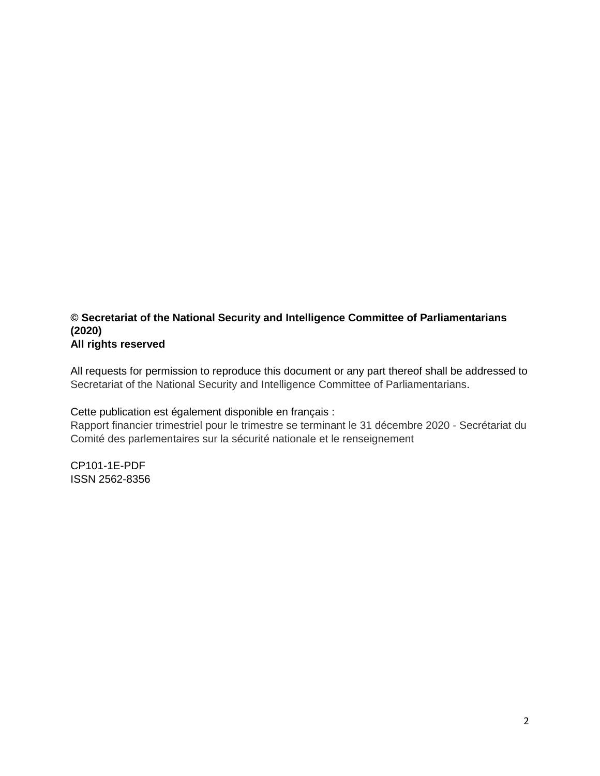#### **© Secretariat of the National Security and Intelligence Committee of Parliamentarians (2020) All rights reserved**

All requests for permission to reproduce this document or any part thereof shall be addressed to Secretariat of the National Security and Intelligence Committee of Parliamentarians.

Cette publication est également disponible en français :

Rapport financier trimestriel pour le trimestre se terminant le 31 décembre 2020 - Secrétariat du Comité des parlementaires sur la sécurité nationale et le renseignement

CP101-1E-PDF ISSN 2562-8356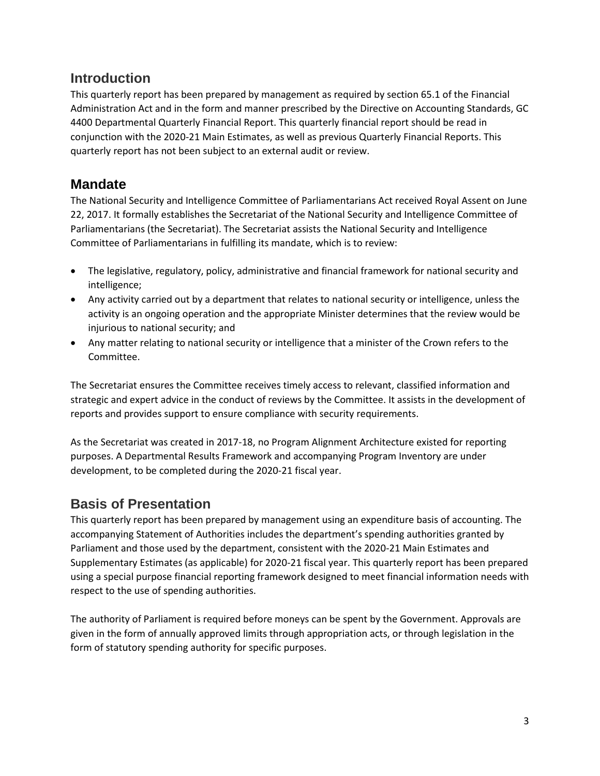### **Introduction**

This quarterly report has been prepared by management as required by section 65.1 of the Financial Administration Act and in the form and manner prescribed by the Directive on Accounting Standards, GC 4400 Departmental Quarterly Financial Report. This quarterly financial report should be read in conjunction with the 2020-21 Main Estimates, as well as previous Quarterly Financial Reports. This quarterly report has not been subject to an external audit or review.

## **Mandate**

The National Security and Intelligence Committee of Parliamentarians Act received Royal Assent on June 22, 2017. It formally establishes the Secretariat of the National Security and Intelligence Committee of Parliamentarians (the Secretariat). The Secretariat assists the National Security and Intelligence Committee of Parliamentarians in fulfilling its mandate, which is to review:

- The legislative, regulatory, policy, administrative and financial framework for national security and intelligence;
- Any activity carried out by a department that relates to national security or intelligence, unless the activity is an ongoing operation and the appropriate Minister determines that the review would be injurious to national security; and
- Any matter relating to national security or intelligence that a minister of the Crown refers to the Committee.

The Secretariat ensures the Committee receives timely access to relevant, classified information and strategic and expert advice in the conduct of reviews by the Committee. It assists in the development of reports and provides support to ensure compliance with security requirements.

As the Secretariat was created in 2017-18, no Program Alignment Architecture existed for reporting purposes. A Departmental Results Framework and accompanying Program Inventory are under development, to be completed during the 2020-21 fiscal year.

# **Basis of Presentation**

This quarterly report has been prepared by management using an expenditure basis of accounting. The accompanying Statement of Authorities includes the department's spending authorities granted by Parliament and those used by the department, consistent with the 2020-21 Main Estimates and Supplementary Estimates (as applicable) for 2020-21 fiscal year. This quarterly report has been prepared using a special purpose financial reporting framework designed to meet financial information needs with respect to the use of spending authorities.

The authority of Parliament is required before moneys can be spent by the Government. Approvals are given in the form of annually approved limits through appropriation acts, or through legislation in the form of statutory spending authority for specific purposes.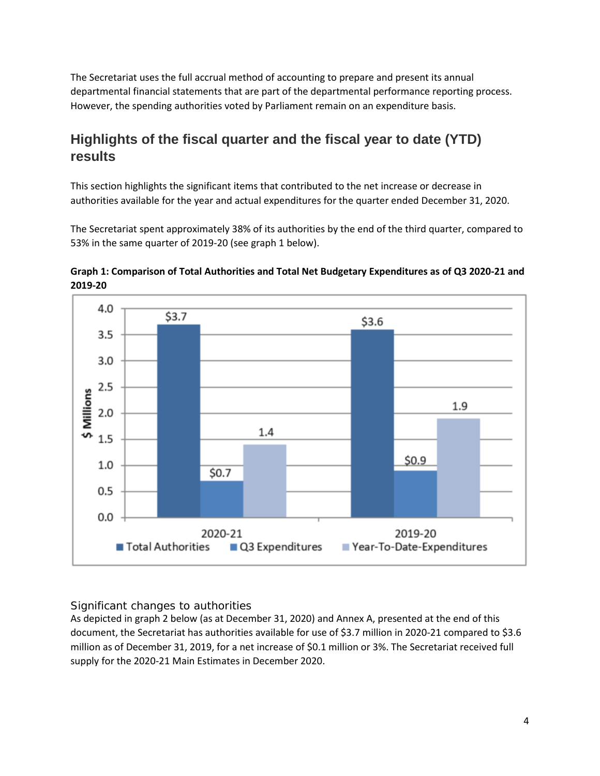The Secretariat uses the full accrual method of accounting to prepare and present its annual departmental financial statements that are part of the departmental performance reporting process. However, the spending authorities voted by Parliament remain on an expenditure basis.

# **Highlights of the fiscal quarter and the fiscal year to date (YTD) results**

This section highlights the significant items that contributed to the net increase or decrease in authorities available for the year and actual expenditures for the quarter ended December 31, 2020.

The Secretariat spent approximately 38% of its authorities by the end of the third quarter, compared to 53% in the same quarter of 2019-20 (see graph 1 below).





#### *Significant changes to authorities*

As depicted in graph 2 below (as at December 31, 2020) and Annex A, presented at the end of this document, the Secretariat has authorities available for use of \$3.7 million in 2020-21 compared to \$3.6 million as of December 31, 2019, for a net increase of \$0.1 million or 3%. The Secretariat received full supply for the 2020-21 Main Estimates in December 2020.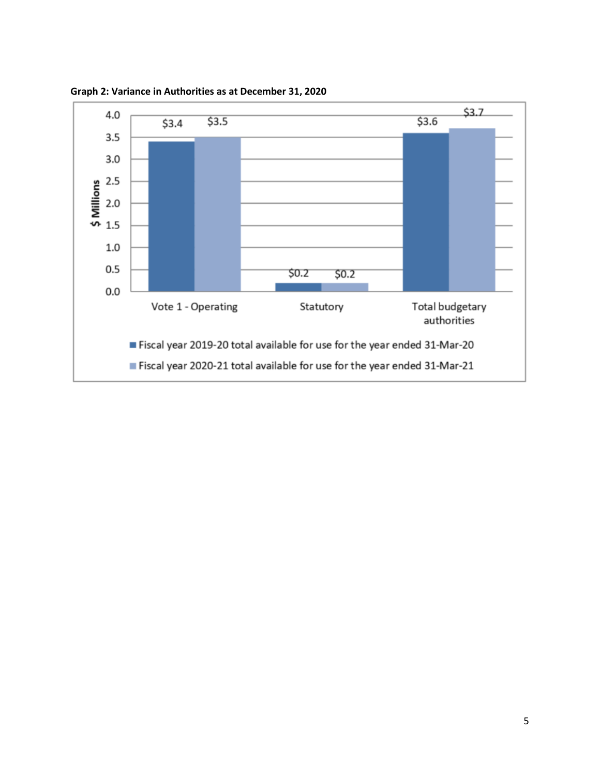

**Graph 2: Variance in Authorities as at December 31, 2020**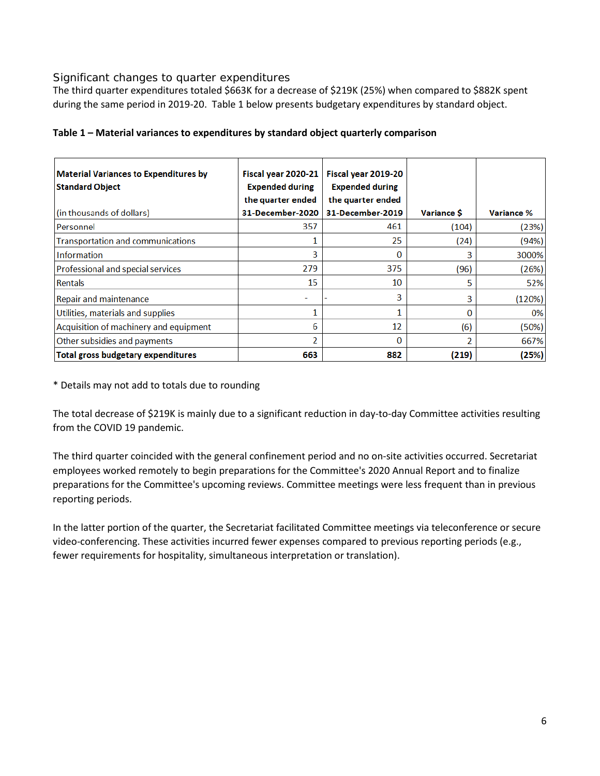#### *Significant changes to quarter expenditures*

The third quarter expenditures totaled \$663K for a decrease of \$219K (25%) when compared to \$882K spent during the same period in 2019-20. Table 1 below presents budgetary expenditures by standard object.

| <b>Material Variances to Expenditures by</b> | Fiscal year 2020-21    | Fiscal year 2019-20    |                   |                   |
|----------------------------------------------|------------------------|------------------------|-------------------|-------------------|
| <b>Standard Object</b>                       | <b>Expended during</b> | <b>Expended during</b> |                   |                   |
|                                              | the quarter ended      | the quarter ended      |                   |                   |
| (in thousands of dollars)                    | 31-December-2020       | 31-December-2019       | <b>Variance S</b> | <b>Variance %</b> |
| l Personnel                                  | 357                    | 461                    | (104)             | (23%)             |
| Transportation and communications            |                        | 25                     | (24)              | (94%)             |
| Information                                  | 3                      | 0                      | 3                 | 3000%             |
| Professional and special services            | 279                    | 375                    | (96)              | (26%)             |
| <b>Rentals</b>                               | 15                     | 10                     | 5                 | 52%               |
| Repair and maintenance                       |                        | 3                      | 3                 | (120%)            |
| Utilities, materials and supplies            |                        | 1                      | 0                 | 0%                |
| Acquisition of machinery and equipment       | 6                      | 12                     | (6)               | (50%)             |
| Other subsidies and payments                 | 2                      | 0                      | ว                 | 667%              |
| <b>Total gross budgetary expenditures</b>    | 663                    | 882                    | (219)             | (25%)             |

#### **Table 1 – Material variances to expenditures by standard object quarterly comparison**

\* Details may not add to totals due to rounding

The total decrease of \$219K is mainly due to a significant reduction in day-to-day Committee activities resulting from the COVID 19 pandemic.

The third quarter coincided with the general confinement period and no on-site activities occurred. Secretariat employees worked remotely to begin preparations for the Committee's 2020 Annual Report and to finalize preparations for the Committee's upcoming reviews. Committee meetings were less frequent than in previous reporting periods.

In the latter portion of the quarter, the Secretariat facilitated Committee meetings via teleconference or secure video-conferencing. These activities incurred fewer expenses compared to previous reporting periods (e.g., fewer requirements for hospitality, simultaneous interpretation or translation).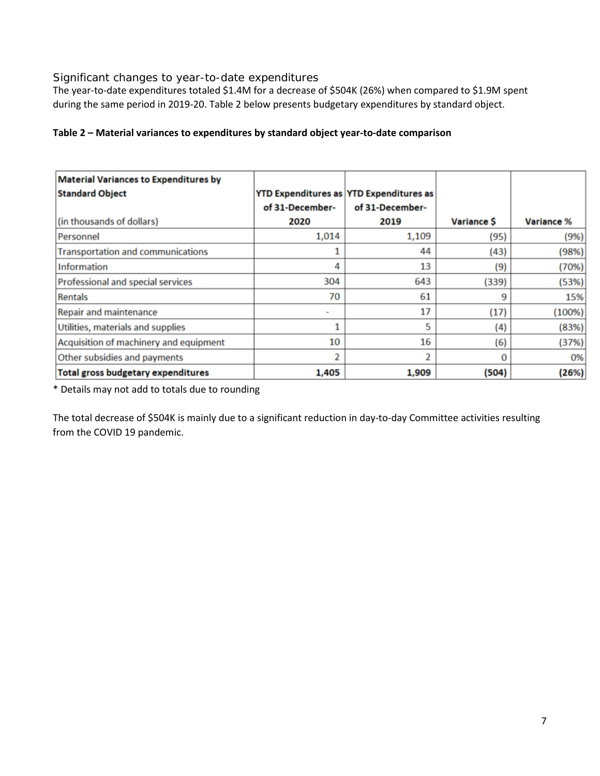#### *Significant changes to year-to-date expenditures*

The year-to-date expenditures totaled \$1.4M for a decrease of \$504K (26%) when compared to \$1.9M spent during the same period in 2019-20. Table 2 below presents budgetary expenditures by standard object.

#### **Table 2 – Material variances to expenditures by standard object year-to-date comparison**

| <b>Material Variances to Expenditures by</b> |                          |                                                |                   |            |
|----------------------------------------------|--------------------------|------------------------------------------------|-------------------|------------|
| <b>Standard Object</b>                       |                          | <b>YTD Expenditures as YTD Expenditures as</b> |                   |            |
|                                              | of 31-December-          | of 31-December-                                |                   |            |
| (in thousands of dollars)                    | 2020                     | 2019                                           | <b>Variance S</b> | Variance % |
| Personnel                                    | 1,014                    | 1,109                                          | (95)              | (9%)       |
| <b>Transportation and communications</b>     |                          | 44                                             | (43)              | (98%)      |
| Information                                  | 4                        | 13                                             | (9)               | (70%)      |
| Professional and special services            | 304                      | 643                                            | (339)             | (53%)      |
| Rentals                                      | 70                       | 61                                             | 9                 | 15%        |
| <b>Repair and maintenance</b>                | $\overline{\phantom{a}}$ | 17                                             | (17)              | (100%)     |
| Utilities, materials and supplies            |                          | 5                                              | (4)               | (83%)      |
| Acquisition of machinery and equipment       | 10                       | 16                                             | (6)               | (37%)      |
| Other subsidies and payments                 | 2                        |                                                | $\Omega$          | 0%         |
| <b>Total gross budgetary expenditures</b>    | 1,405                    | 1,909                                          | (504)             | (26%)      |

\* Details may not add to totals due to rounding

The total decrease of \$504K is mainly due to a significant reduction in day-to-day Committee activities resulting from the COVID 19 pandemic.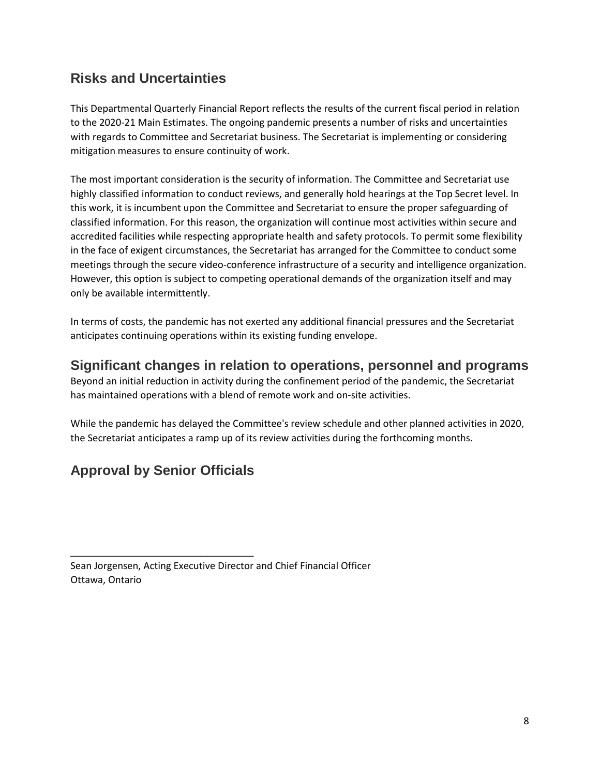# **Risks and Uncertainties**

This Departmental Quarterly Financial Report reflects the results of the current fiscal period in relation to the 2020-21 Main Estimates. The ongoing pandemic presents a number of risks and uncertainties with regards to Committee and Secretariat business. The Secretariat is implementing or considering mitigation measures to ensure continuity of work.

The most important consideration is the security of information. The Committee and Secretariat use highly classified information to conduct reviews, and generally hold hearings at the Top Secret level. In this work, it is incumbent upon the Committee and Secretariat to ensure the proper safeguarding of classified information. For this reason, the organization will continue most activities within secure and accredited facilities while respecting appropriate health and safety protocols. To permit some flexibility in the face of exigent circumstances, the Secretariat has arranged for the Committee to conduct some meetings through the secure video-conference infrastructure of a security and intelligence organization. However, this option is subject to competing operational demands of the organization itself and may only be available intermittently.

In terms of costs, the pandemic has not exerted any additional financial pressures and the Secretariat anticipates continuing operations within its existing funding envelope.

### **Significant changes in relation to operations, personnel and programs**

Beyond an initial reduction in activity during the confinement period of the pandemic, the Secretariat has maintained operations with a blend of remote work and on-site activities.

While the pandemic has delayed the Committee's review schedule and other planned activities in 2020, the Secretariat anticipates a ramp up of its review activities during the forthcoming months.

# **Approval by Senior Officials**

\_\_\_\_\_\_\_\_\_\_\_\_\_\_\_\_\_\_\_\_\_\_\_\_

Sean Jorgensen, Acting Executive Director and Chief Financial Officer Ottawa, Ontario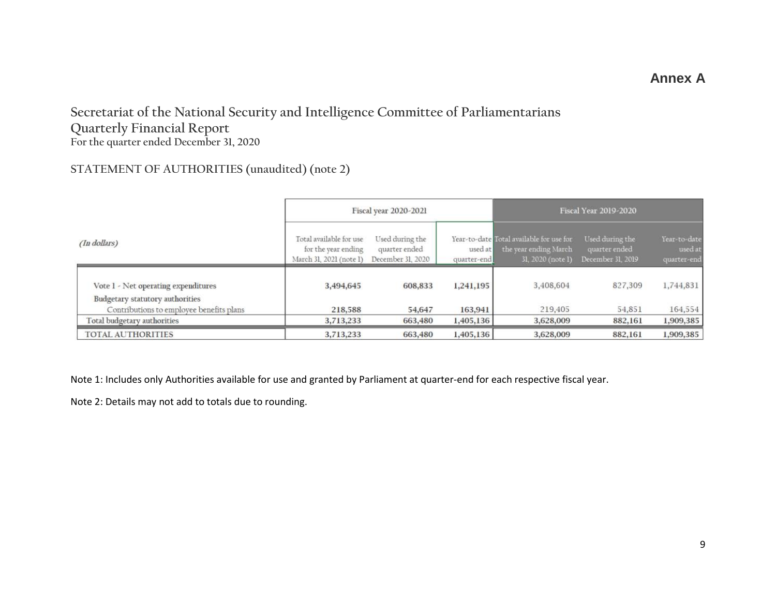### **Annex A**

### **Secretariat of the National Security and Intelligence Committee of Parliamentarians Quarterly Financial Report For the quarter ended December 31, 2020**

### **STATEMENT OF AUTHORITIES (unaudited) (note 2)**

|                                                                                                                    | Fiscal year 2020-2021                                                     |                                                       |                        | <b>Fiscal Year 2019-2020</b>                                                           |                                                       |                                        |  |
|--------------------------------------------------------------------------------------------------------------------|---------------------------------------------------------------------------|-------------------------------------------------------|------------------------|----------------------------------------------------------------------------------------|-------------------------------------------------------|----------------------------------------|--|
| (In dollars)                                                                                                       | Total available for use<br>for the year ending<br>March 31, 2021 (note 1) | Used during the<br>quarter ended<br>December 31, 2020 | used at<br>quarter-end | Year-to-date Total available for use for<br>the year ending March<br>31, 2020 (note 1) | Used during the<br>quarter ended<br>December 31, 2019 | Year-to-date<br>used at<br>quarter-end |  |
| Vote 1 - Net operating expenditures<br>Budgetary statutory authorities<br>Contributions to employee benefits plans | 3,494,645<br>218,588                                                      | 608,833<br>54,647                                     | 1,241,195<br>163,941   | 3,408,604<br>219,405                                                                   | 827,309<br>54,851                                     | 1,744,831<br>164,554                   |  |
| Total budgetary authorities                                                                                        | 3,713,233                                                                 | 663,480                                               | 1,405,136              | 3,628,009                                                                              | 882,161                                               | 1,909,385                              |  |
| <b>TOTAL AUTHORITIES</b>                                                                                           | 3,713,233                                                                 | 663,480                                               | 1,405,136              | 3,628,009                                                                              | 882,161                                               | 1,909,385                              |  |

Note 1: Includes only Authorities available for use and granted by Parliament at quarter-end for each respective fiscal year.

Note 2: Details may not add to totals due to rounding.